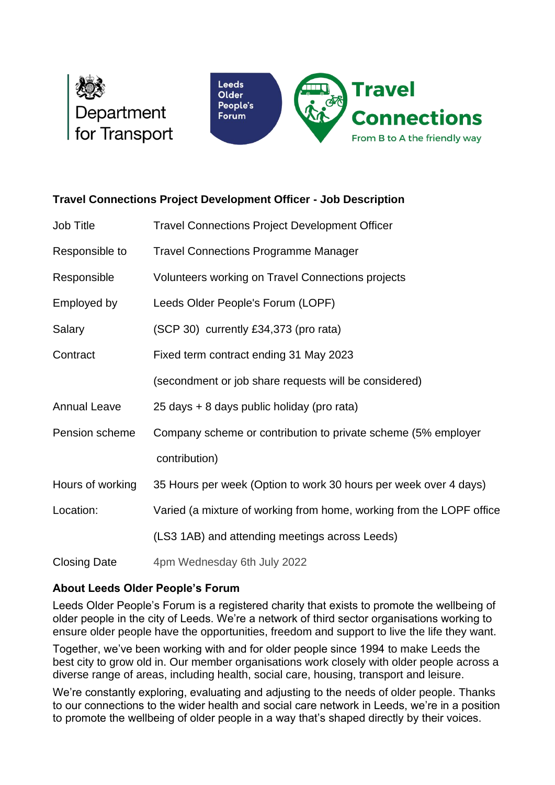



# **Travel Connections Project Development Officer - Job Description**

| Job Title           | <b>Travel Connections Project Development Officer</b>                |
|---------------------|----------------------------------------------------------------------|
| Responsible to      | <b>Travel Connections Programme Manager</b>                          |
| Responsible         | Volunteers working on Travel Connections projects                    |
| Employed by         | Leeds Older People's Forum (LOPF)                                    |
| Salary              | (SCP 30) currently £34,373 (pro rata)                                |
| Contract            | Fixed term contract ending 31 May 2023                               |
|                     | (secondment or job share requests will be considered)                |
| <b>Annual Leave</b> | 25 days + 8 days public holiday (pro rata)                           |
| Pension scheme      | Company scheme or contribution to private scheme (5% employer        |
|                     | contribution)                                                        |
| Hours of working    | 35 Hours per week (Option to work 30 hours per week over 4 days)     |
| Location:           | Varied (a mixture of working from home, working from the LOPF office |
|                     | (LS3 1AB) and attending meetings across Leeds)                       |
| <b>Closing Date</b> | 4pm Wednesday 6th July 2022                                          |

# **About Leeds Older People's Forum**

Leeds Older People's Forum is a registered charity that exists to promote the wellbeing of older people in the city of Leeds. We're a network of third sector organisations working to ensure older people have the opportunities, freedom and support to live the life they want.

Together, we've been working with and for older people since 1994 to make Leeds the best city to grow old in. Our member organisations work closely with older people across a diverse range of areas, including health, social care, housing, transport and leisure.

We're constantly exploring, evaluating and adjusting to the needs of older people. Thanks to our connections to the wider health and social care network in Leeds, we're in a position to promote the wellbeing of older people in a way that's shaped directly by their voices.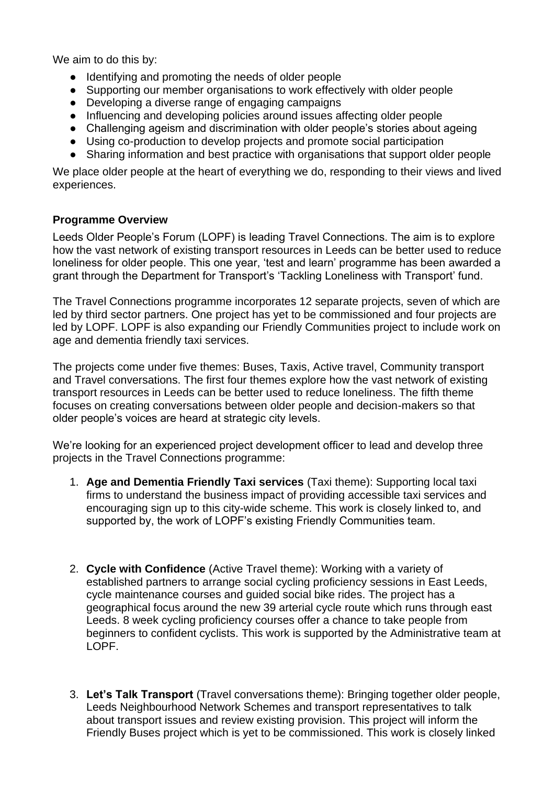We aim to do this by:

- Identifying and promoting the needs of older people
- Supporting our member organisations to work effectively with older people
- Developing a diverse range of engaging campaigns
- Influencing and developing policies around issues affecting older people
- Challenging ageism and discrimination with older people's stories about ageing
- Using co-production to develop projects and promote social participation
- Sharing information and best practice with organisations that support older people

We place older people at the heart of everything we do, responding to their views and lived experiences.

## **Programme Overview**

Leeds Older People's Forum (LOPF) is leading Travel Connections. The aim is to explore how the vast network of existing transport resources in Leeds can be better used to reduce loneliness for older people. This one year, 'test and learn' programme has been awarded a grant through the Department for Transport's 'Tackling Loneliness with Transport' fund.

The Travel Connections programme incorporates 12 separate projects, seven of which are led by third sector partners. One project has yet to be commissioned and four projects are led by LOPF. LOPF is also expanding our Friendly Communities project to include work on age and dementia friendly taxi services.

The projects come under five themes: Buses, Taxis, Active travel, Community transport and Travel conversations. The first four themes explore how the vast network of existing transport resources in Leeds can be better used to reduce loneliness. The fifth theme focuses on creating conversations between older people and decision-makers so that older people's voices are heard at strategic city levels.

We're looking for an experienced project development officer to lead and develop three projects in the Travel Connections programme:

- 1. **Age and Dementia Friendly Taxi services** (Taxi theme): Supporting local taxi firms to understand the business impact of providing accessible taxi services and encouraging sign up to this city-wide scheme. This work is closely linked to, and supported by, the work of LOPF's existing Friendly Communities team.
- 2. **Cycle with Confidence** (Active Travel theme): Working with a variety of established partners to arrange social cycling proficiency sessions in East Leeds, cycle maintenance courses and guided social bike rides. The project has a geographical focus around the new 39 arterial cycle route which runs through east Leeds. 8 week cycling proficiency courses offer a chance to take people from beginners to confident cyclists. This work is supported by the Administrative team at LOPF.
- 3. **Let's Talk Transport** (Travel conversations theme): Bringing together older people, Leeds Neighbourhood Network Schemes and transport representatives to talk about transport issues and review existing provision. This project will inform the Friendly Buses project which is yet to be commissioned. This work is closely linked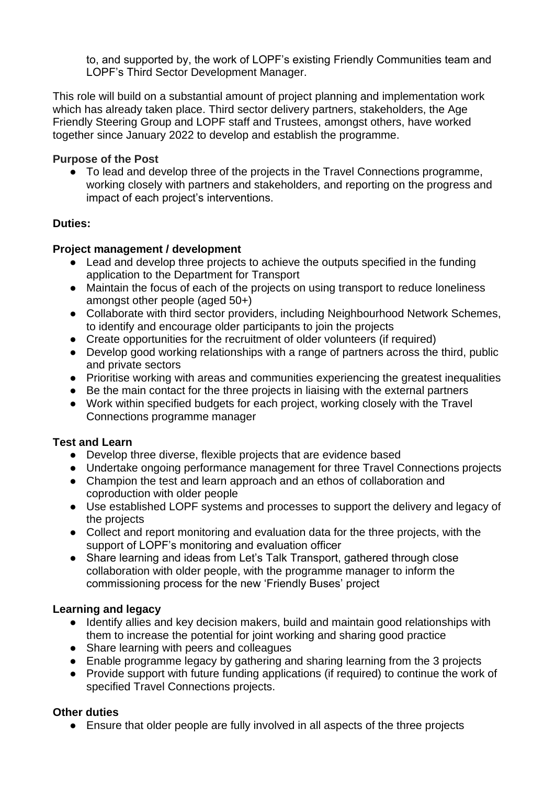to, and supported by, the work of LOPF's existing Friendly Communities team and LOPF's Third Sector Development Manager.

This role will build on a substantial amount of project planning and implementation work which has already taken place. Third sector delivery partners, stakeholders, the Age Friendly Steering Group and LOPF staff and Trustees, amongst others, have worked together since January 2022 to develop and establish the programme.

## **Purpose of the Post**

● To lead and develop three of the projects in the Travel Connections programme, working closely with partners and stakeholders, and reporting on the progress and impact of each project's interventions.

## **Duties:**

## **Project management / development**

- Lead and develop three projects to achieve the outputs specified in the funding application to the Department for Transport
- Maintain the focus of each of the projects on using transport to reduce loneliness amongst other people (aged 50+)
- Collaborate with third sector providers, including Neighbourhood Network Schemes, to identify and encourage older participants to join the projects
- Create opportunities for the recruitment of older volunteers (if required)
- Develop good working relationships with a range of partners across the third, public and private sectors
- Prioritise working with areas and communities experiencing the greatest inequalities
- Be the main contact for the three projects in liaising with the external partners
- Work within specified budgets for each project, working closely with the Travel Connections programme manager

#### **Test and Learn**

- Develop three diverse, flexible projects that are evidence based
- Undertake ongoing performance management for three Travel Connections projects
- Champion the test and learn approach and an ethos of collaboration and coproduction with older people
- Use established LOPF systems and processes to support the delivery and legacy of the projects
- Collect and report monitoring and evaluation data for the three projects, with the support of LOPF's monitoring and evaluation officer
- Share learning and ideas from Let's Talk Transport, gathered through close collaboration with older people, with the programme manager to inform the commissioning process for the new 'Friendly Buses' project

# **Learning and legacy**

- Identify allies and key decision makers, build and maintain good relationships with them to increase the potential for joint working and sharing good practice
- Share learning with peers and colleagues
- Enable programme legacy by gathering and sharing learning from the 3 projects
- Provide support with future funding applications (if required) to continue the work of specified Travel Connections projects.

# **Other duties**

● Ensure that older people are fully involved in all aspects of the three projects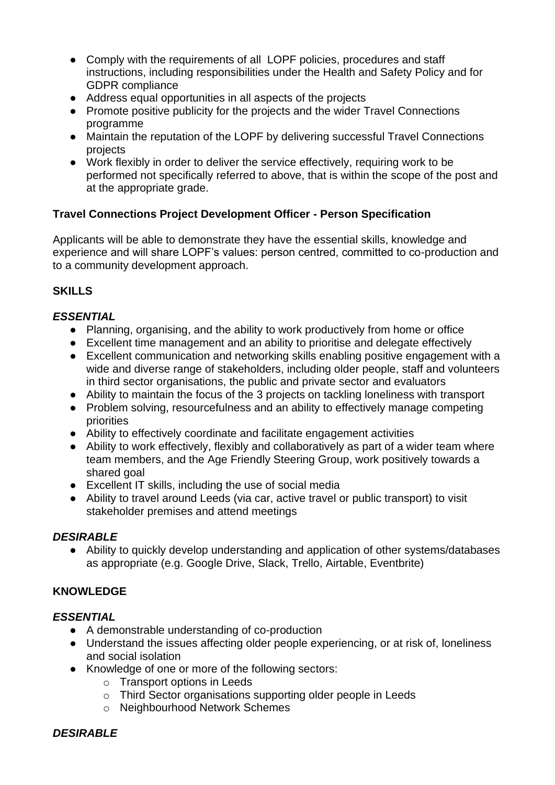- Comply with the requirements of all LOPF policies, procedures and staff instructions, including responsibilities under the Health and Safety Policy and for GDPR compliance
- Address equal opportunities in all aspects of the projects
- Promote positive publicity for the projects and the wider Travel Connections programme
- Maintain the reputation of the LOPF by delivering successful Travel Connections projects
- Work flexibly in order to deliver the service effectively, requiring work to be performed not specifically referred to above, that is within the scope of the post and at the appropriate grade.

# **Travel Connections Project Development Officer - Person Specification**

Applicants will be able to demonstrate they have the essential skills, knowledge and experience and will share LOPF's values: person centred, committed to co-production and to a community development approach.

# **SKILLS**

# *ESSENTIAL*

- Planning, organising, and the ability to work productively from home or office
- Excellent time management and an ability to prioritise and delegate effectively
- Excellent communication and networking skills enabling positive engagement with a wide and diverse range of stakeholders, including older people, staff and volunteers in third sector organisations, the public and private sector and evaluators
- Ability to maintain the focus of the 3 projects on tackling loneliness with transport
- Problem solving, resourcefulness and an ability to effectively manage competing priorities
- Ability to effectively coordinate and facilitate engagement activities
- Ability to work effectively, flexibly and collaboratively as part of a wider team where team members, and the Age Friendly Steering Group, work positively towards a shared goal
- Excellent IT skills, including the use of social media
- Ability to travel around Leeds (via car, active travel or public transport) to visit stakeholder premises and attend meetings

# *DESIRABLE*

● Ability to quickly develop understanding and application of other systems/databases as appropriate (e.g. Google Drive, Slack, Trello, Airtable, Eventbrite)

# **KNOWLEDGE**

# *ESSENTIAL*

- A demonstrable understanding of co-production
- Understand the issues affecting older people experiencing, or at risk of, loneliness and social isolation
- Knowledge of one or more of the following sectors:
	- o Transport options in Leeds
	- o Third Sector organisations supporting older people in Leeds
	- o Neighbourhood Network Schemes

# *DESIRABLE*